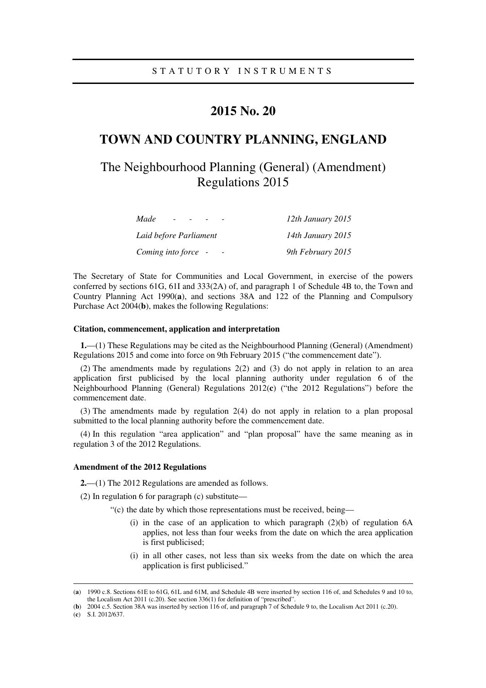### **2015 No. 20**

# **TOWN AND COUNTRY PLANNING, ENGLAND**

# The Neighbourhood Planning (General) (Amendment) Regulations 2015

| Made<br>$\overline{\phantom{0}}$ | 12th January 2015 |
|----------------------------------|-------------------|
| Laid before Parliament           | 14th January 2015 |
| Coming into force -              | 9th February 2015 |

The Secretary of State for Communities and Local Government, in exercise of the powers conferred by sections 61G, 61I and 333(2A) of, and paragraph 1 of Schedule 4B to, the Town and Country Planning Act 1990(**a**), and sections 38A and 122 of the Planning and Compulsory Purchase Act 2004(**b**), makes the following Regulations:

### **Citation, commencement, application and interpretation**

**1.**—(1) These Regulations may be cited as the Neighbourhood Planning (General) (Amendment) Regulations 2015 and come into force on 9th February 2015 ("the commencement date").

(2) The amendments made by regulations 2(2) and (3) do not apply in relation to an area application first publicised by the local planning authority under regulation 6 of the Neighbourhood Planning (General) Regulations 2012(**c**) ("the 2012 Regulations") before the commencement date.

(3) The amendments made by regulation 2(4) do not apply in relation to a plan proposal submitted to the local planning authority before the commencement date.

(4) In this regulation "area application" and "plan proposal" have the same meaning as in regulation 3 of the 2012 Regulations.

#### **Amendment of the 2012 Regulations**

**2.**—(1) The 2012 Regulations are amended as follows.

(2) In regulation 6 for paragraph (c) substitute—

"(c) the date by which those representations must be received, being—

- (i) in the case of an application to which paragraph  $(2)(b)$  of regulation 6A applies, not less than four weeks from the date on which the area application is first publicised;
- (i) in all other cases, not less than six weeks from the date on which the area application is first publicised."

<u>.</u>

<sup>(</sup>**a**) 1990 c.8. Sections 61E to 61G, 61L and 61M, and Schedule 4B were inserted by section 116 of, and Schedules 9 and 10 to, the Localism Act 2011 (c.20). See section 336(1) for definition of "prescribed".

<sup>(</sup>**b**) 2004 c.5. Section 38A was inserted by section 116 of, and paragraph 7 of Schedule 9 to, the Localism Act 2011 (c.20).

<sup>(</sup>**c**) S.I. 2012/637.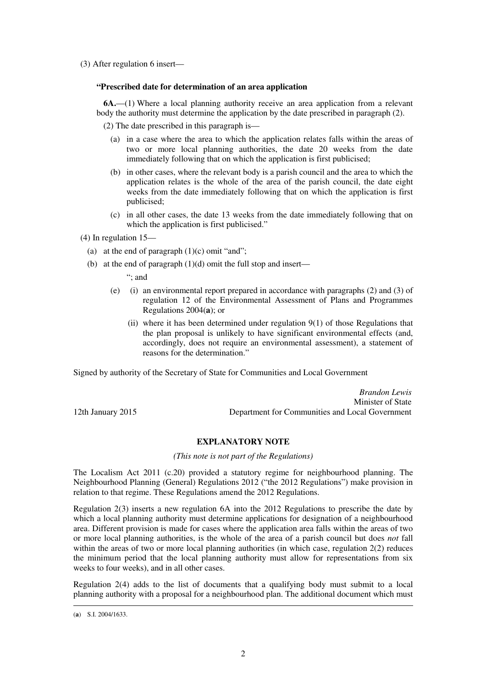(3) After regulation 6 insert—

### **"Prescribed date for determination of an area application**

**6A.**—(1) Where a local planning authority receive an area application from a relevant body the authority must determine the application by the date prescribed in paragraph (2).

(2) The date prescribed in this paragraph is—

- (a) in a case where the area to which the application relates falls within the areas of two or more local planning authorities, the date 20 weeks from the date immediately following that on which the application is first publicised;
- (b) in other cases, where the relevant body is a parish council and the area to which the application relates is the whole of the area of the parish council, the date eight weeks from the date immediately following that on which the application is first publicised;
- (c) in all other cases, the date 13 weeks from the date immediately following that on which the application is first publicised."

(4) In regulation 15—

- (a) at the end of paragraph  $(1)(c)$  omit "and";
- (b) at the end of paragraph (1)(d) omit the full stop and insert—

"; and

- (e) (i) an environmental report prepared in accordance with paragraphs (2) and (3) of regulation 12 of the Environmental Assessment of Plans and Programmes Regulations 2004(**a**); or
	- (ii) where it has been determined under regulation 9(1) of those Regulations that the plan proposal is unlikely to have significant environmental effects (and, accordingly, does not require an environmental assessment), a statement of reasons for the determination."

Signed by authority of the Secretary of State for Communities and Local Government

*Brandon Lewis* Minister of State 12th January 2015 Department for Communities and Local Government

**EXPLANATORY NOTE** 

*(This note is not part of the Regulations)* 

The Localism Act 2011 (c.20) provided a statutory regime for neighbourhood planning. The Neighbourhood Planning (General) Regulations 2012 ("the 2012 Regulations") make provision in relation to that regime. These Regulations amend the 2012 Regulations.

Regulation 2(3) inserts a new regulation 6A into the 2012 Regulations to prescribe the date by which a local planning authority must determine applications for designation of a neighbourhood area. Different provision is made for cases where the application area falls within the areas of two or more local planning authorities, is the whole of the area of a parish council but does *not* fall within the areas of two or more local planning authorities (in which case, regulation 2(2) reduces the minimum period that the local planning authority must allow for representations from six weeks to four weeks), and in all other cases.

Regulation 2(4) adds to the list of documents that a qualifying body must submit to a local planning authority with a proposal for a neighbourhood plan. The additional document which must

<u>.</u>

<sup>(</sup>**a**) S.I. 2004/1633.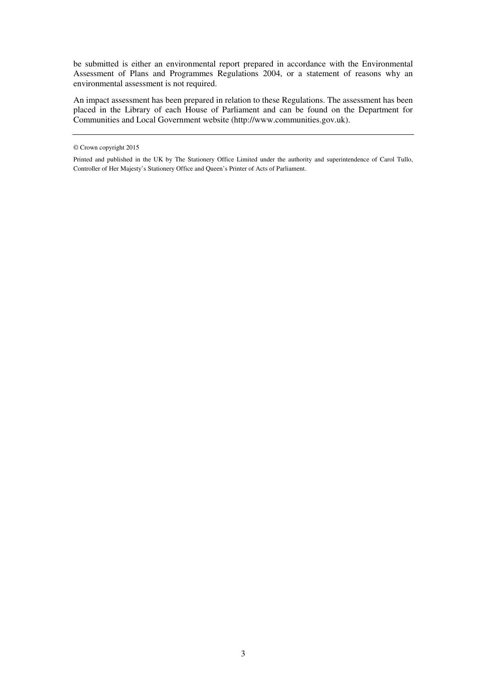be submitted is either an environmental report prepared in accordance with the Environmental Assessment of Plans and Programmes Regulations 2004, or a statement of reasons why an environmental assessment is not required.

An impact assessment has been prepared in relation to these Regulations. The assessment has been placed in the Library of each House of Parliament and can be found on the Department for Communities and Local Government website (http://www.communities.gov.uk).

<sup>©</sup> Crown copyright 2015

Printed and published in the UK by The Stationery Office Limited under the authority and superintendence of Carol Tullo, Controller of Her Majesty's Stationery Office and Queen's Printer of Acts of Parliament.